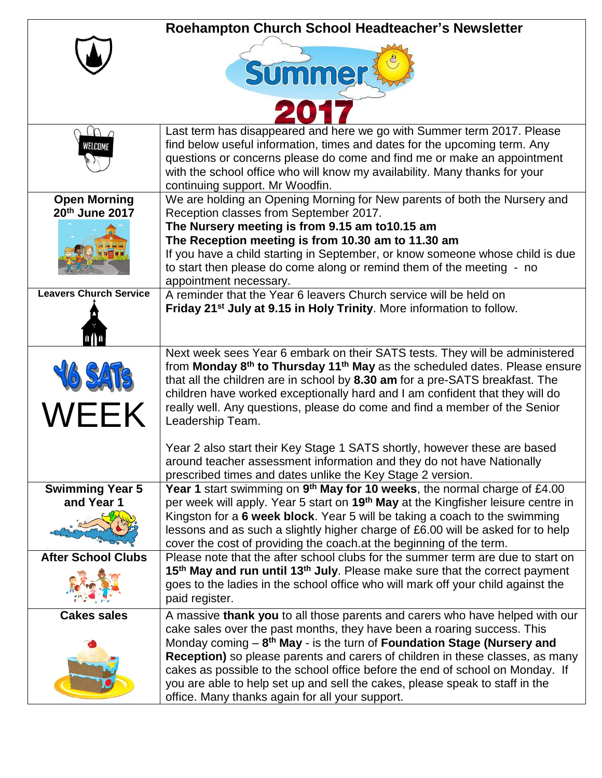|                                       | Roehampton Church School Headteacher's Newsletter                                                                                                                                                                                                                                                                                                                                                                                                                                                                                                   |
|---------------------------------------|-----------------------------------------------------------------------------------------------------------------------------------------------------------------------------------------------------------------------------------------------------------------------------------------------------------------------------------------------------------------------------------------------------------------------------------------------------------------------------------------------------------------------------------------------------|
|                                       | <b>Summer</b>                                                                                                                                                                                                                                                                                                                                                                                                                                                                                                                                       |
|                                       |                                                                                                                                                                                                                                                                                                                                                                                                                                                                                                                                                     |
| VELCOMI                               | Last term has disappeared and here we go with Summer term 2017. Please<br>find below useful information, times and dates for the upcoming term. Any<br>questions or concerns please do come and find me or make an appointment<br>with the school office who will know my availability. Many thanks for your<br>continuing support. Mr Woodfin.                                                                                                                                                                                                     |
| <b>Open Morning</b><br>20th June 2017 | We are holding an Opening Morning for New parents of both the Nursery and<br>Reception classes from September 2017.                                                                                                                                                                                                                                                                                                                                                                                                                                 |
|                                       | The Nursery meeting is from 9.15 am to10.15 am<br>The Reception meeting is from 10.30 am to 11.30 am<br>If you have a child starting in September, or know someone whose child is due<br>to start then please do come along or remind them of the meeting - no<br>appointment necessary.                                                                                                                                                                                                                                                            |
| <b>Leavers Church Service</b>         | A reminder that the Year 6 leavers Church service will be held on<br>Friday 21 <sup>st</sup> July at 9.15 in Holy Trinity. More information to follow.                                                                                                                                                                                                                                                                                                                                                                                              |
| WEEK                                  | Next week sees Year 6 embark on their SATS tests. They will be administered<br>from Monday 8 <sup>th</sup> to Thursday 11 <sup>th</sup> May as the scheduled dates. Please ensure<br>that all the children are in school by 8.30 am for a pre-SATS breakfast. The<br>children have worked exceptionally hard and I am confident that they will do<br>really well. Any questions, please do come and find a member of the Senior<br>Leadership Team.                                                                                                 |
|                                       | Year 2 also start their Key Stage 1 SATS shortly, however these are based<br>around teacher assessment information and they do not have Nationally<br>prescribed times and dates unlike the Key Stage 2 version.                                                                                                                                                                                                                                                                                                                                    |
| <b>Swimming Year 5</b><br>and Year 1  | Year 1 start swimming on 9 <sup>th</sup> May for 10 weeks, the normal charge of £4.00<br>per week will apply. Year 5 start on 19 <sup>th</sup> May at the Kingfisher leisure centre in<br>Kingston for a 6 week block. Year 5 will be taking a coach to the swimming<br>lessons and as such a slightly higher charge of £6.00 will be asked for to help<br>cover the cost of providing the coach at the beginning of the term.                                                                                                                      |
| <b>After School Clubs</b>             | Please note that the after school clubs for the summer term are due to start on<br>15 <sup>th</sup> May and run until 13 <sup>th</sup> July. Please make sure that the correct payment<br>goes to the ladies in the school office who will mark off your child against the<br>paid register.                                                                                                                                                                                                                                                        |
| <b>Cakes sales</b>                    | A massive thank you to all those parents and carers who have helped with our<br>cake sales over the past months, they have been a roaring success. This<br>Monday coming $-8$ <sup>th</sup> May - is the turn of Foundation Stage (Nursery and<br>Reception) so please parents and carers of children in these classes, as many<br>cakes as possible to the school office before the end of school on Monday. If<br>you are able to help set up and sell the cakes, please speak to staff in the<br>office. Many thanks again for all your support. |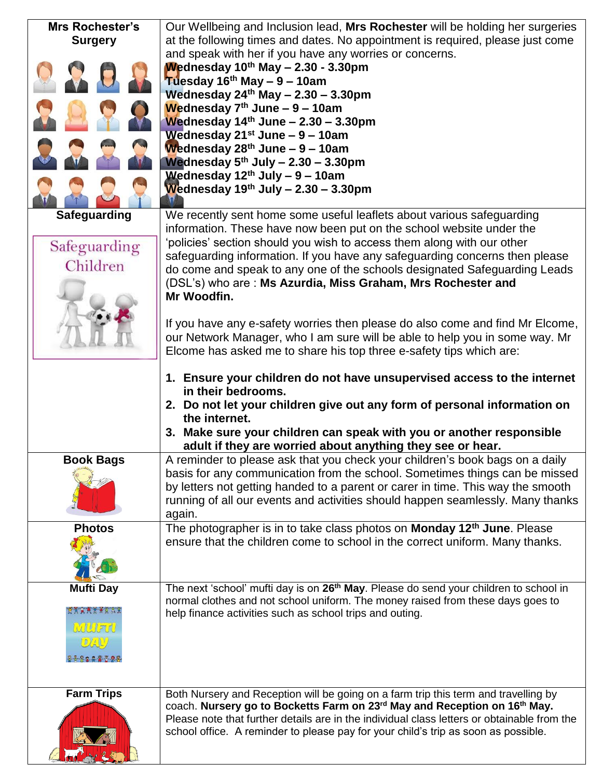| <b>Mrs Rochester's</b> | Our Wellbeing and Inclusion lead, Mrs Rochester will be holding her surgeries                     |
|------------------------|---------------------------------------------------------------------------------------------------|
| <b>Surgery</b>         | at the following times and dates. No appointment is required, please just come                    |
|                        | and speak with her if you have any worries or concerns.                                           |
|                        | Wednesday $10^{th}$ May $- 2.30 - 3.30$ pm                                                        |
|                        | Tuesday $16th$ May $-9-10$ am                                                                     |
|                        | Wednesday $24th$ May $- 2.30 - 3.30$ pm                                                           |
|                        | Wednesday $7th$ June - 9 - 10am                                                                   |
|                        | Wednesday $14th$ June - 2.30 - 3.30pm                                                             |
|                        |                                                                                                   |
|                        | Wednesday $21^{st}$ June – 9 – 10am                                                               |
|                        | Wednesday $28th$ June – 9 – 10am                                                                  |
|                        | Wednesday $5^{th}$ July - 2.30 - 3.30pm                                                           |
|                        | Wednesday $12th$ July - 9 - 10am                                                                  |
|                        | Wednesday $19^{th}$ July - 2.30 - 3.30pm                                                          |
|                        |                                                                                                   |
| Safeguarding           | We recently sent home some useful leaflets about various safeguarding                             |
|                        | information. These have now been put on the school website under the                              |
| Safeguarding           | 'policies' section should you wish to access them along with our other                            |
|                        | safeguarding information. If you have any safeguarding concerns then please                       |
| Children               | do come and speak to any one of the schools designated Safeguarding Leads                         |
|                        | (DSL's) who are: Ms Azurdia, Miss Graham, Mrs Rochester and                                       |
|                        | Mr Woodfin.                                                                                       |
|                        |                                                                                                   |
|                        | If you have any e-safety worries then please do also come and find Mr Elcome,                     |
|                        | our Network Manager, who I am sure will be able to help you in some way. Mr                       |
|                        | Elcome has asked me to share his top three e-safety tips which are:                               |
|                        |                                                                                                   |
|                        | 1. Ensure your children do not have unsupervised access to the internet                           |
|                        | in their bedrooms.                                                                                |
|                        | 2. Do not let your children give out any form of personal information on                          |
|                        | the internet.                                                                                     |
|                        | 3. Make sure your children can speak with you or another responsible                              |
|                        | adult if they are worried about anything they see or hear.                                        |
| <b>Book Bags</b>       | A reminder to please ask that you check your children's book bags on a daily                      |
|                        |                                                                                                   |
|                        |                                                                                                   |
|                        | basis for any communication from the school. Sometimes things can be missed                       |
|                        | by letters not getting handed to a parent or carer in time. This way the smooth                   |
|                        | running of all our events and activities should happen seamlessly. Many thanks                    |
|                        | again.                                                                                            |
| <b>Photos</b>          | The photographer is in to take class photos on Monday 12 <sup>th</sup> June. Please               |
|                        | ensure that the children come to school in the correct uniform. Many thanks.                      |
|                        |                                                                                                   |
|                        |                                                                                                   |
|                        |                                                                                                   |
| <b>Mufti Day</b>       | The next 'school' mufti day is on 26 <sup>th</sup> May. Please do send your children to school in |
| <b>TAXATIATER</b>      | normal clothes and not school uniform. The money raised from these days goes to                   |
|                        | help finance activities such as school trips and outing.                                          |
| MILLEN                 |                                                                                                   |
| D / A U                |                                                                                                   |
| 88822793               |                                                                                                   |
|                        |                                                                                                   |
|                        |                                                                                                   |
| <b>Farm Trips</b>      | Both Nursery and Reception will be going on a farm trip this term and travelling by               |
|                        | coach. Nursery go to Bocketts Farm on 23rd May and Reception on 16th May.                         |
|                        | Please note that further details are in the individual class letters or obtainable from the       |
|                        | school office. A reminder to please pay for your child's trip as soon as possible.                |
|                        |                                                                                                   |